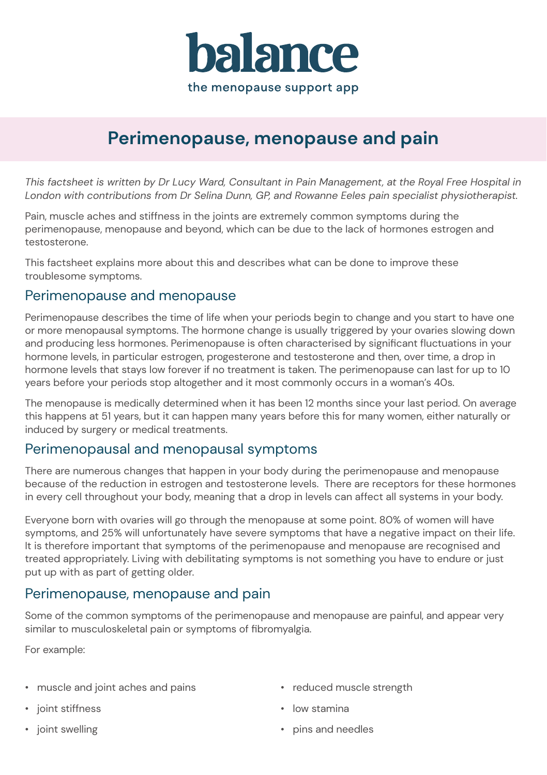

# **Perimenopause, menopause and pain**

*This factsheet is written by Dr Lucy Ward, Consultant in Pain Management, at the Royal Free Hospital in London with contributions from Dr Selina Dunn, GP, and Rowanne Eeles pain specialist physiotherapist.*

Pain, muscle aches and stiffness in the joints are extremely common symptoms during the perimenopause, menopause and beyond, which can be due to the lack of hormones estrogen and testosterone.

This factsheet explains more about this and describes what can be done to improve these troublesome symptoms.

### Perimenopause and menopause

Perimenopause describes the time of life when your periods begin to change and you start to have one or more menopausal symptoms. The hormone change is usually triggered by your ovaries slowing down and producing less hormones. Perimenopause is often characterised by significant fluctuations in your hormone levels, in particular estrogen, progesterone and testosterone and then, over time, a drop in hormone levels that stays low forever if no treatment is taken. The perimenopause can last for up to 10 years before your periods stop altogether and it most commonly occurs in a woman's 40s.

The menopause is medically determined when it has been 12 months since your last period. On average this happens at 51 years, but it can happen many years before this for many women, either naturally or induced by surgery or medical treatments.

### Perimenopausal and menopausal symptoms

There are numerous changes that happen in your body during the perimenopause and menopause because of the reduction in estrogen and testosterone levels. There are receptors for these hormones in every cell throughout your body, meaning that a drop in levels can affect all systems in your body.

Everyone born with ovaries will go through the menopause at some point. 80% of women will have symptoms, and 25% will unfortunately have severe symptoms that have a negative impact on their life. It is therefore important that symptoms of the perimenopause and menopause are recognised and treated appropriately. Living with debilitating symptoms is not something you have to endure or just put up with as part of getting older.

### Perimenopause, menopause and pain

Some of the common symptoms of the perimenopause and menopause are painful, and appear very similar to musculoskeletal pain or symptoms of fibromyalgia.

For example:

- $\cdot$  muscle and joint aches and pains
- joint stiffness
- joint swelling
- reduced muscle strength
- low stamina
- pins and needles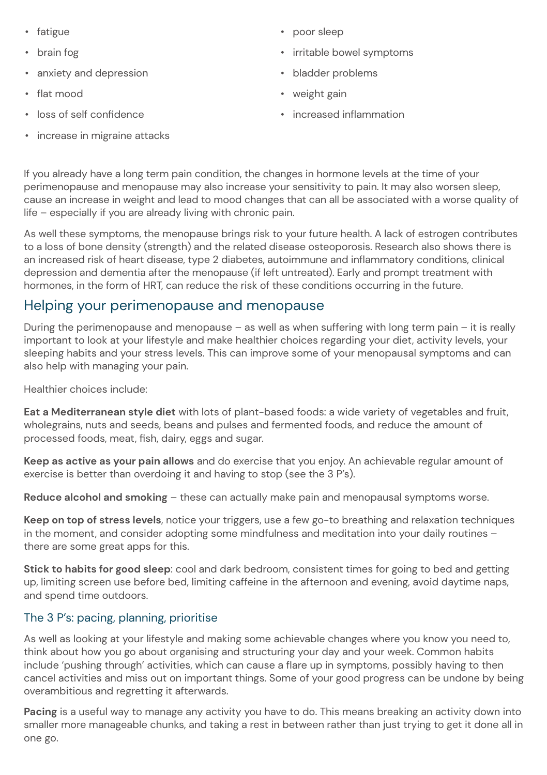- fatigue
- brain fog
- **•** anxiety and depression
- flat mood
- loss of self confidence
- $\cdot$  increase in migraine attacks
- poor sleep
- irritable bowel symptoms
- bladder problems
- weight gain
- $\cdot$  increased inflammation

If you already have a long term pain condition, the changes in hormone levels at the time of your perimenopause and menopause may also increase your sensitivity to pain. It may also worsen sleep, cause an increase in weight and lead to mood changes that can all be associated with a worse quality of life – especially if you are already living with chronic pain.

As well these symptoms, the menopause brings risk to your future health. A lack of estrogen contributes to a loss of bone density (strength) and the related disease osteoporosis. Research also shows there is an increased risk of heart disease, type 2 diabetes, autoimmune and inflammatory conditions, clinical depression and dementia after the menopause (if left untreated). Early and prompt treatment with hormones, in the form of HRT, can reduce the risk of these conditions occurring in the future.

# Helping your perimenopause and menopause

During the perimenopause and menopause – as well as when suffering with long term pain – it is really important to look at your lifestyle and make healthier choices regarding your diet, activity levels, your sleeping habits and your stress levels. This can improve some of your menopausal symptoms and can also help with managing your pain.

Healthier choices include:

**Eat a Mediterranean style diet** with lots of plant-based foods: a wide variety of vegetables and fruit, wholegrains, nuts and seeds, beans and pulses and fermented foods, and reduce the amount of processed foods, meat, fish, dairy, eggs and sugar.

**Keep as active as your pain allows** and do exercise that you enjoy. An achievable regular amount of exercise is better than overdoing it and having to stop (see the 3 P's).

**Reduce alcohol and smoking** – these can actually make pain and menopausal symptoms worse.

**Keep on top of stress levels**, notice your triggers, use a few go-to breathing and relaxation techniques in the moment, and consider adopting some mindfulness and meditation into your daily routines – there are some great apps for this.

**Stick to habits for good sleep**: cool and dark bedroom, consistent times for going to bed and getting up, limiting screen use before bed, limiting caffeine in the afternoon and evening, avoid daytime naps, and spend time outdoors.

### The 3 P's: pacing, planning, prioritise

As well as looking at your lifestyle and making some achievable changes where you know you need to, think about how you go about organising and structuring your day and your week. Common habits include 'pushing through' activities, which can cause a flare up in symptoms, possibly having to then cancel activities and miss out on important things. Some of your good progress can be undone by being overambitious and regretting it afterwards.

**Pacing** is a useful way to manage any activity you have to do. This means breaking an activity down into smaller more manageable chunks, and taking a rest in between rather than just trying to get it done all in one go.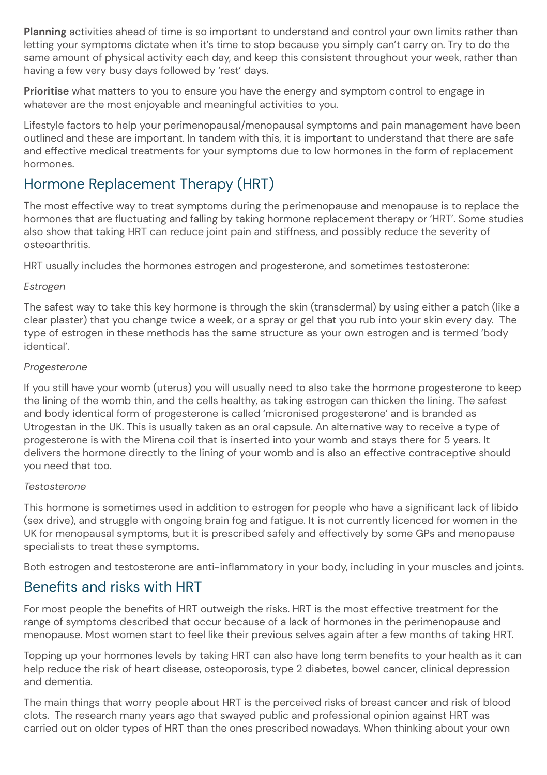**Planning** activities ahead of time is so important to understand and control your own limits rather than letting your symptoms dictate when it's time to stop because you simply can't carry on. Try to do the same amount of physical activity each day, and keep this consistent throughout your week, rather than having a few very busy days followed by 'rest' days.

**Prioritise** what matters to you to ensure you have the energy and symptom control to engage in whatever are the most enjoyable and meaningful activities to you.

Lifestyle factors to help your perimenopausal/menopausal symptoms and pain management have been outlined and these are important. In tandem with this, it is important to understand that there are safe and effective medical treatments for your symptoms due to low hormones in the form of replacement hormones.

# Hormone Replacement Therapy (HRT)

The most effective way to treat symptoms during the perimenopause and menopause is to replace the hormones that are fluctuating and falling by taking hormone replacement therapy or 'HRT'. Some studies also show that taking HRT can reduce joint pain and stiffness, and possibly reduce the severity of osteoarthritis.

HRT usually includes the hormones estrogen and progesterone, and sometimes testosterone:

#### *Estrogen*

The safest way to take this key hormone is through the skin (transdermal) by using either a patch (like a clear plaster) that you change twice a week, or a spray or gel that you rub into your skin every day. The type of estrogen in these methods has the same structure as your own estrogen and is termed 'body identical'.

#### *Progesterone*

If you still have your womb (uterus) you will usually need to also take the hormone progesterone to keep the lining of the womb thin, and the cells healthy, as taking estrogen can thicken the lining. The safest and body identical form of progesterone is called 'micronised progesterone' and is branded as Utrogestan in the UK. This is usually taken as an oral capsule. An alternative way to receive a type of progesterone is with the Mirena coil that is inserted into your womb and stays there for 5 years. It delivers the hormone directly to the lining of your womb and is also an effective contraceptive should you need that too.

#### *Testosterone*

This hormone is sometimes used in addition to estrogen for people who have a significant lack of libido (sex drive), and struggle with ongoing brain fog and fatigue. It is not currently licenced for women in the UK for menopausal symptoms, but it is prescribed safely and effectively by some GPs and menopause specialists to treat these symptoms.

Both estrogen and testosterone are anti-inflammatory in your body, including in your muscles and joints.

# Benefits and risks with HRT

For most people the benefits of HRT outweigh the risks. HRT is the most effective treatment for the range of symptoms described that occur because of a lack of hormones in the perimenopause and menopause. Most women start to feel like their previous selves again after a few months of taking HRT.

Topping up your hormones levels by taking HRT can also have long term benefits to your health as it can help reduce the risk of heart disease, osteoporosis, type 2 diabetes, bowel cancer, clinical depression and dementia.

The main things that worry people about HRT is the perceived risks of breast cancer and risk of blood clots. The research many years ago that swayed public and professional opinion against HRT was carried out on older types of HRT than the ones prescribed nowadays. When thinking about your own